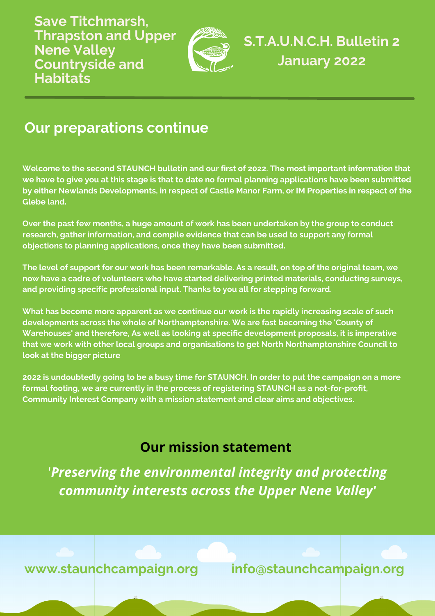**Save Titchmarsh, Thrapston and Upper Nene Valley Countryside and Habitats**



**S.T.A.U.N.C.H. Bulletin 2 January 2022**

# **Our preparations continue**

**Welcome to the second STAUNCH bulletin and our first of 2022. The most important information that** we have to give you at this stage is that to date no formal planning applications have been submitted **by either Newlands Developments, in respect of Castle Manor Farm, or IM Properties in respect of the Glebe land.**

**Over the past few months, a huge amount of work has been undertaken by the group to conduct research, gather information, and compile evidence that can be used to support any formal objections to planning applications, once they have been submitted.**

The level of support for our work has been remarkable. As a result, on top of the original team, we **now have a cadre of volunteers who have started delivering printed materials, conducting surveys, and providing specific professional input. Thanks to you all for stepping forward.**

**What has become more apparent as we continue our work is the rapidly increasing scale of such developments across the whole of Northamptonshire. We are fast becoming the 'County of Warehouses' and therefore, As well as looking at specific development proposals, it is imperative that we work with other local groups and organisations to get North Northamptonshire Council to look at the bigger picture**

2022 is undoubtedly going to be a busy time for STAUNCH. In order to put the campaign on a more **formal footing, we are currently in the process of registering STAUNCH as a not-for-profit, Community Interest Company with a mission statement and clear aims and objectives.**

### **Our mission statement**

'*Preserving the environmental integrity and protecting community interests across the Upper Nene Valley'*

**www.staunchcampaign.org info@staunchcampaign.org**